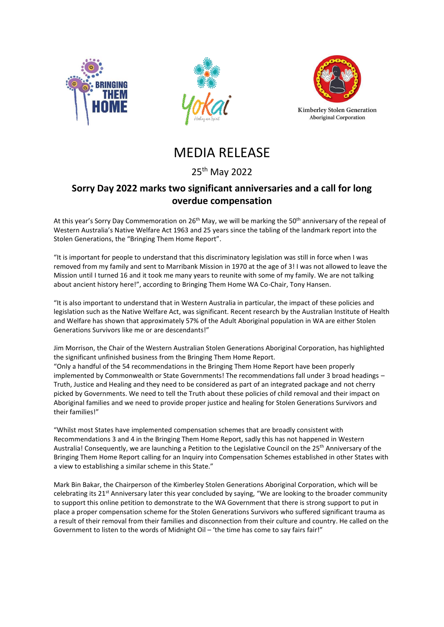





# MEDIA RELEASE

## 25th May 2022

## **Sorry Day 2022 marks two significant anniversaries and a call for long overdue compensation**

At this year's Sorry Day Commemoration on 26<sup>th</sup> May, we will be marking the 50<sup>th</sup> anniversary of the repeal of Western Australia's Native Welfare Act 1963 and 25 years since the tabling of the landmark report into the Stolen Generations, the "Bringing Them Home Report".

"It is important for people to understand that this discriminatory legislation was still in force when I was removed from my family and sent to Marribank Mission in 1970 at the age of 3! I was not allowed to leave the Mission until I turned 16 and it took me many years to reunite with some of my family. We are not talking about ancient history here!", according to Bringing Them Home WA Co-Chair, Tony Hansen.

"It is also important to understand that in Western Australia in particular, the impact of these policies and legislation such as the Native Welfare Act, was significant. Recent research by the Australian Institute of Health and Welfare has shown that approximately 57% of the Adult Aboriginal population in WA are either Stolen Generations Survivors like me or are descendants!"

Jim Morrison, the Chair of the Western Australian Stolen Generations Aboriginal Corporation, has highlighted the significant unfinished business from the Bringing Them Home Report. "Only a handful of the 54 recommendations in the Bringing Them Home Report have been properly implemented by Commonwealth or State Governments! The recommendations fall under 3 broad headings – Truth, Justice and Healing and they need to be considered as part of an integrated package and not cherry picked by Governments. We need to tell the Truth about these policies of child removal and their impact on Aboriginal families and we need to provide proper justice and healing for Stolen Generations Survivors and their families!"

"Whilst most States have implemented compensation schemes that are broadly consistent with Recommendations 3 and 4 in the Bringing Them Home Report, sadly this has not happened in Western Australia! Consequently, we are launching a Petition to the Legislative Council on the 25th Anniversary of the Bringing Them Home Report calling for an Inquiry into Compensation Schemes established in other States with a view to establishing a similar scheme in this State."

Mark Bin Bakar, the Chairperson of the Kimberley Stolen Generations Aboriginal Corporation, which will be celebrating its 21<sup>st</sup> Anniversary later this year concluded by saying, "We are looking to the broader community to support this online petition to demonstrate to the WA Government that there is strong support to put in place a proper compensation scheme for the Stolen Generations Survivors who suffered significant trauma as a result of their removal from their families and disconnection from their culture and country. He called on the Government to listen to the words of Midnight Oil – 'the time has come to say fairs fair!"